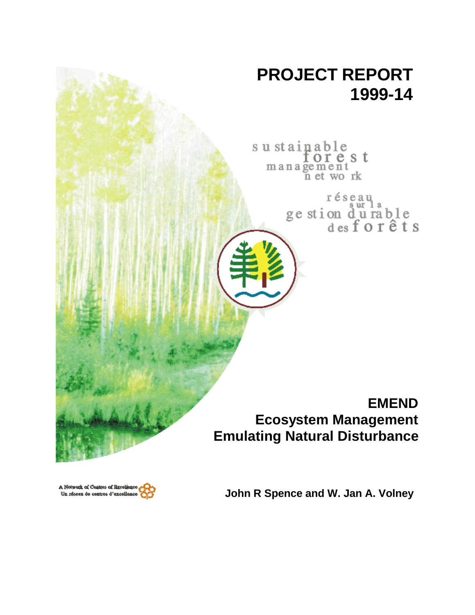

A Network of Centres of Baceliano Un réseau de centres d'excellenc

**John R Spence and W. Jan A. Volney**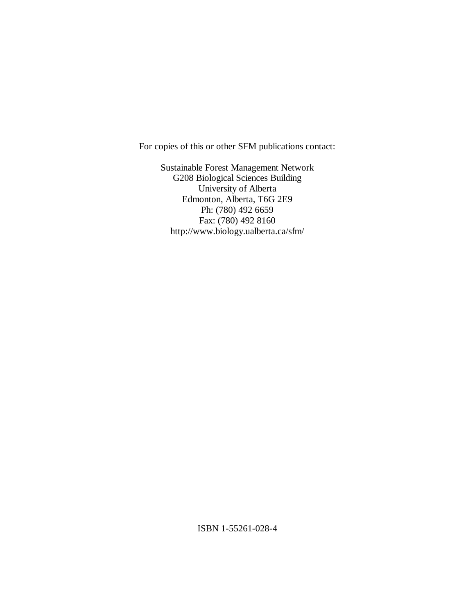For copies of this or other SFM publications contact:

Sustainable Forest Management Network G208 Biological Sciences Building University of Alberta Edmonton, Alberta, T6G 2E9 Ph: (780) 492 6659 Fax: (780) 492 8160 http://www.biology.ualberta.ca/sfm/

ISBN 1-55261-028-4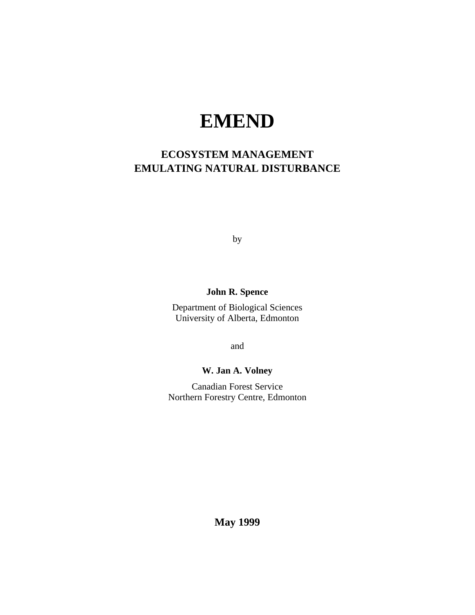# **EMEND**

## **ECOSYSTEM MANAGEMENT EMULATING NATURAL DISTURBANCE**

by

## **John R. Spence**

Department of Biological Sciences University of Alberta, Edmonton

and

## **W. Jan A. Volney**

Canadian Forest Service Northern Forestry Centre, Edmonton

**May 1999**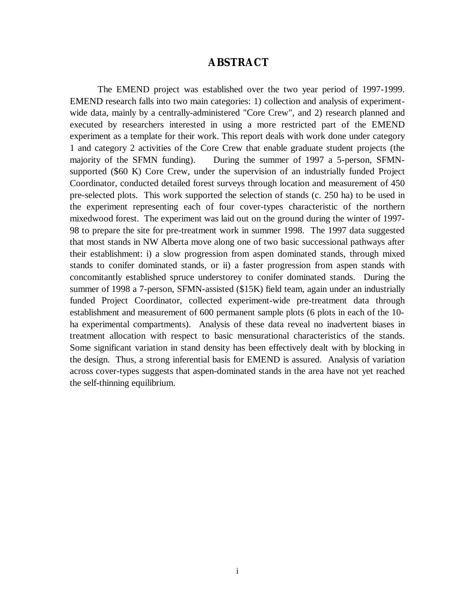## **ABSTRACT**

The EMEND project was established over the two year period of 1997-1999. EMEND research falls into two main categories: 1) collection and analysis of experimentwide data, mainly by a centrally-administered "Core Crew", and 2) research planned and executed by researchers interested in using a more restricted part of the EMEND experiment as a template for their work. This report deals with work done under category 1 and category 2 activities of the Core Crew that enable graduate student projects (the majority of the SFMN funding). During the summer of 1997 a 5-person, SFMNsupported (\$60 K) Core Crew, under the supervision of an industrially funded Project Coordinator, conducted detailed forest surveys through location and measurement of 450 pre-selected plots. This work supported the selection of stands (c. 250 ha) to be used in the experiment representing each of four cover-types characteristic of the northern mixedwood forest. The experiment was laid out on the ground during the winter of 1997- 98 to prepare the site for pre-treatment work in summer 1998. The 1997 data suggested that most stands in NW Alberta move along one of two basic successional pathways after their establishment: i) a slow progression from aspen dominated stands, through mixed stands to conifer dominated stands, or ii) a faster progression from aspen stands with concomitantly established spruce understorey to conifer dominated stands. During the summer of 1998 a 7-person, SFMN-assisted (\$15K) field team, again under an industrially funded Project Coordinator, collected experiment-wide pre-treatment data through establishment and measurement of 600 permanent sample plots (6 plots in each of the 10 ha experimental compartments). Analysis of these data reveal no inadvertent biases in treatment allocation with respect to basic mensurational characteristics of the stands. Some significant variation in stand density has been effectively dealt with by blocking in the design. Thus, a strong inferential basis for EMEND is assured. Analysis of variation across cover-types suggests that aspen-dominated stands in the area have not yet reached the self-thinning equilibrium.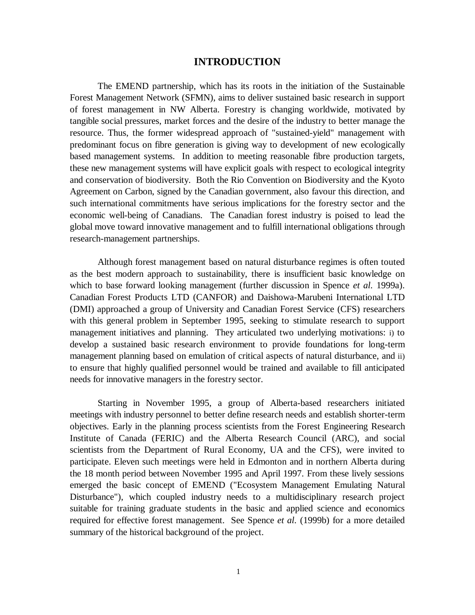## **INTRODUCTION**

The EMEND partnership, which has its roots in the initiation of the Sustainable Forest Management Network (SFMN), aims to deliver sustained basic research in support of forest management in NW Alberta. Forestry is changing worldwide, motivated by tangible social pressures, market forces and the desire of the industry to better manage the resource. Thus, the former widespread approach of "sustained-yield" management with predominant focus on fibre generation is giving way to development of new ecologically based management systems. In addition to meeting reasonable fibre production targets, these new management systems will have explicit goals with respect to ecological integrity and conservation of biodiversity. Both the Rio Convention on Biodiversity and the Kyoto Agreement on Carbon, signed by the Canadian government, also favour this direction, and such international commitments have serious implications for the forestry sector and the economic well-being of Canadians. The Canadian forest industry is poised to lead the global move toward innovative management and to fulfill international obligations through research-management partnerships.

Although forest management based on natural disturbance regimes is often touted as the best modern approach to sustainability, there is insufficient basic knowledge on which to base forward looking management (further discussion in Spence *et al.* 1999a). Canadian Forest Products LTD (CANFOR) and Daishowa-Marubeni International LTD (DMI) approached a group of University and Canadian Forest Service (CFS) researchers with this general problem in September 1995, seeking to stimulate research to support management initiatives and planning. They articulated two underlying motivations: i) to develop a sustained basic research environment to provide foundations for long-term management planning based on emulation of critical aspects of natural disturbance, and ii) to ensure that highly qualified personnel would be trained and available to fill anticipated needs for innovative managers in the forestry sector.

Starting in November 1995, a group of Alberta-based researchers initiated meetings with industry personnel to better define research needs and establish shorter-term objectives. Early in the planning process scientists from the Forest Engineering Research Institute of Canada (FERIC) and the Alberta Research Council (ARC), and social scientists from the Department of Rural Economy, UA and the CFS), were invited to participate. Eleven such meetings were held in Edmonton and in northern Alberta during the 18 month period between November 1995 and April 1997. From these lively sessions emerged the basic concept of EMEND ("Ecosystem Management Emulating Natural Disturbance"), which coupled industry needs to a multidisciplinary research project suitable for training graduate students in the basic and applied science and economics required for effective forest management. See Spence *et al.* (1999b) for a more detailed summary of the historical background of the project.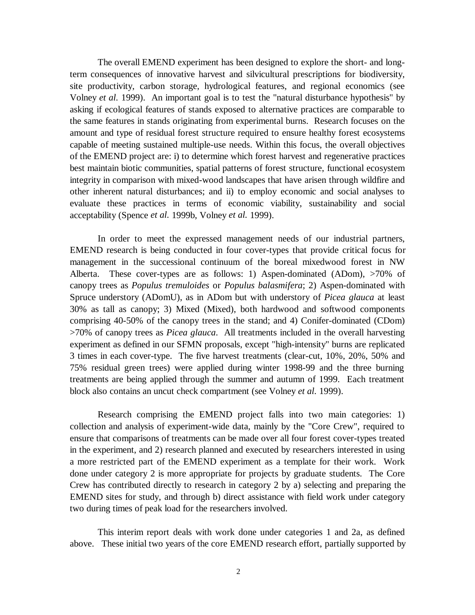The overall EMEND experiment has been designed to explore the short- and longterm consequences of innovative harvest and silvicultural prescriptions for biodiversity, site productivity, carbon storage, hydrological features, and regional economics (see Volney *et al.* 1999). An important goal is to test the "natural disturbance hypothesis" by asking if ecological features of stands exposed to alternative practices are comparable to the same features in stands originating from experimental burns. Research focuses on the amount and type of residual forest structure required to ensure healthy forest ecosystems capable of meeting sustained multiple-use needs. Within this focus, the overall objectives of the EMEND project are: i) to determine which forest harvest and regenerative practices best maintain biotic communities, spatial patterns of forest structure, functional ecosystem integrity in comparison with mixed-wood landscapes that have arisen through wildfire and other inherent natural disturbances; and ii) to employ economic and social analyses to evaluate these practices in terms of economic viability, sustainability and social acceptability (Spence *et al.* 1999b, Volney *et al.* 1999).

In order to meet the expressed management needs of our industrial partners, EMEND research is being conducted in four cover-types that provide critical focus for management in the successional continuum of the boreal mixedwood forest in NW Alberta. These cover-types are as follows: 1) Aspen-dominated (ADom), >70% of canopy trees as *Populus tremuloides* or *Populus balasmifera*; 2) Aspen-dominated with Spruce understory (ADomU), as in ADom but with understory of *Picea glauca* at least 30% as tall as canopy; 3) Mixed (Mixed), both hardwood and softwood components comprising 40-50% of the canopy trees in the stand; and 4) Conifer-dominated (CDom) >70% of canopy trees as *Picea glauca*. All treatments included in the overall harvesting experiment as defined in our SFMN proposals, except "high-intensity" burns are replicated 3 times in each cover-type. The five harvest treatments (clear-cut, 10%, 20%, 50% and 75% residual green trees) were applied during winter 1998-99 and the three burning treatments are being applied through the summer and autumn of 1999. Each treatment block also contains an uncut check compartment (see Volney *et al.* 1999).

Research comprising the EMEND project falls into two main categories: 1) collection and analysis of experiment-wide data, mainly by the "Core Crew", required to ensure that comparisons of treatments can be made over all four forest cover-types treated in the experiment, and 2) research planned and executed by researchers interested in using a more restricted part of the EMEND experiment as a template for their work. Work done under category 2 is more appropriate for projects by graduate students. The Core Crew has contributed directly to research in category 2 by a) selecting and preparing the EMEND sites for study, and through b) direct assistance with field work under category two during times of peak load for the researchers involved.

This interim report deals with work done under categories 1 and 2a, as defined above. These initial two years of the core EMEND research effort, partially supported by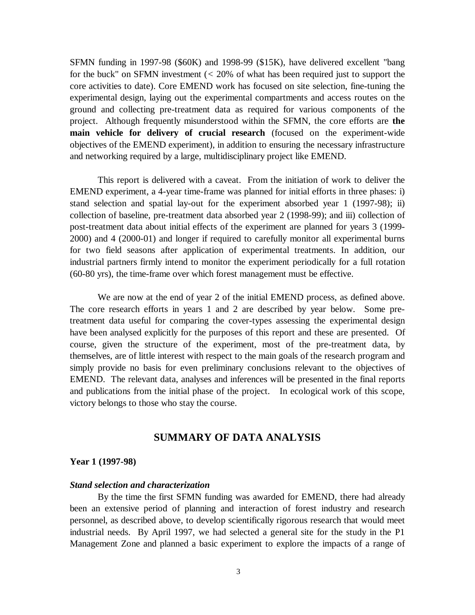SFMN funding in 1997-98 (\$60K) and 1998-99 (\$15K), have delivered excellent "bang for the buck" on SFMN investment (*<* 20% of what has been required just to support the core activities to date). Core EMEND work has focused on site selection, fine-tuning the experimental design, laying out the experimental compartments and access routes on the ground and collecting pre-treatment data as required for various components of the project. Although frequently misunderstood within the SFMN, the core efforts are **the main vehicle for delivery of crucial research** (focused on the experiment-wide objectives of the EMEND experiment), in addition to ensuring the necessary infrastructure and networking required by a large, multidisciplinary project like EMEND.

This report is delivered with a caveat. From the initiation of work to deliver the EMEND experiment, a 4-year time-frame was planned for initial efforts in three phases: i) stand selection and spatial lay-out for the experiment absorbed year 1 (1997-98); ii) collection of baseline, pre-treatment data absorbed year 2 (1998-99); and iii) collection of post-treatment data about initial effects of the experiment are planned for years 3 (1999- 2000) and 4 (2000-01) and longer if required to carefully monitor all experimental burns for two field seasons after application of experimental treatments. In addition, our industrial partners firmly intend to monitor the experiment periodically for a full rotation (60-80 yrs), the time-frame over which forest management must be effective.

We are now at the end of year 2 of the initial EMEND process, as defined above. The core research efforts in years 1 and 2 are described by year below. Some pretreatment data useful for comparing the cover-types assessing the experimental design have been analysed explicitly for the purposes of this report and these are presented. Of course, given the structure of the experiment, most of the pre-treatment data, by themselves, are of little interest with respect to the main goals of the research program and simply provide no basis for even preliminary conclusions relevant to the objectives of EMEND. The relevant data, analyses and inferences will be presented in the final reports and publications from the initial phase of the project. In ecological work of this scope, victory belongs to those who stay the course.

## **SUMMARY OF DATA ANALYSIS**

#### **Year 1 (1997-98)**

#### *Stand selection and characterization*

By the time the first SFMN funding was awarded for EMEND, there had already been an extensive period of planning and interaction of forest industry and research personnel, as described above, to develop scientifically rigorous research that would meet industrial needs. By April 1997, we had selected a general site for the study in the P1 Management Zone and planned a basic experiment to explore the impacts of a range of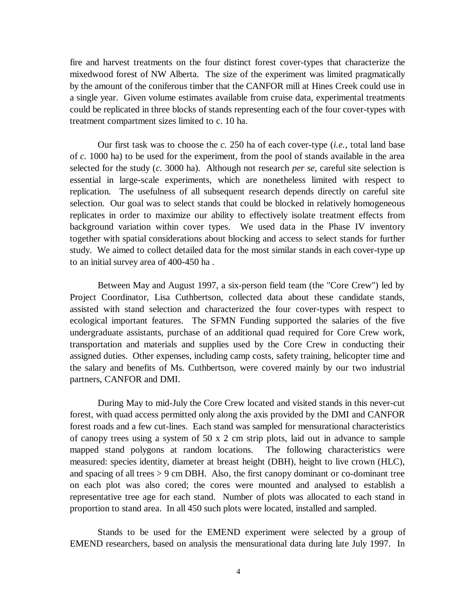fire and harvest treatments on the four distinct forest cover-types that characterize the mixedwood forest of NW Alberta. The size of the experiment was limited pragmatically by the amount of the coniferous timber that the CANFOR mill at Hines Creek could use in a single year. Given volume estimates available from cruise data, experimental treatments could be replicated in three blocks of stands representing each of the four cover-types with treatment compartment sizes limited to c. 10 ha.

Our first task was to choose the *c.* 250 ha of each cover-type (*i.e.*, total land base of *c.* 1000 ha) to be used for the experiment, from the pool of stands available in the area selected for the study (*c.* 3000 ha). Although not research *per se*, careful site selection is essential in large-scale experiments, which are nonetheless limited with respect to replication. The usefulness of all subsequent research depends directly on careful site selection. Our goal was to select stands that could be blocked in relatively homogeneous replicates in order to maximize our ability to effectively isolate treatment effects from background variation within cover types. We used data in the Phase IV inventory together with spatial considerations about blocking and access to select stands for further study. We aimed to collect detailed data for the most similar stands in each cover-type up to an initial survey area of 400-450 ha .

Between May and August 1997, a six-person field team (the "Core Crew") led by Project Coordinator, Lisa Cuthbertson, collected data about these candidate stands, assisted with stand selection and characterized the four cover-types with respect to ecological important features. The SFMN Funding supported the salaries of the five undergraduate assistants, purchase of an additional quad required for Core Crew work, transportation and materials and supplies used by the Core Crew in conducting their assigned duties. Other expenses, including camp costs, safety training, helicopter time and the salary and benefits of Ms. Cuthbertson, were covered mainly by our two industrial partners, CANFOR and DMI.

During May to mid-July the Core Crew located and visited stands in this never-cut forest, with quad access permitted only along the axis provided by the DMI and CANFOR forest roads and a few cut-lines. Each stand was sampled for mensurational characteristics of canopy trees using a system of  $50 \times 2$  cm strip plots, laid out in advance to sample mapped stand polygons at random locations. The following characteristics were measured: species identity, diameter at breast height (DBH), height to live crown (HLC), and spacing of all trees > 9 cm DBH. Also, the first canopy dominant or co-dominant tree on each plot was also cored; the cores were mounted and analysed to establish a representative tree age for each stand. Number of plots was allocated to each stand in proportion to stand area. In all 450 such plots were located, installed and sampled.

Stands to be used for the EMEND experiment were selected by a group of EMEND researchers, based on analysis the mensurational data during late July 1997. In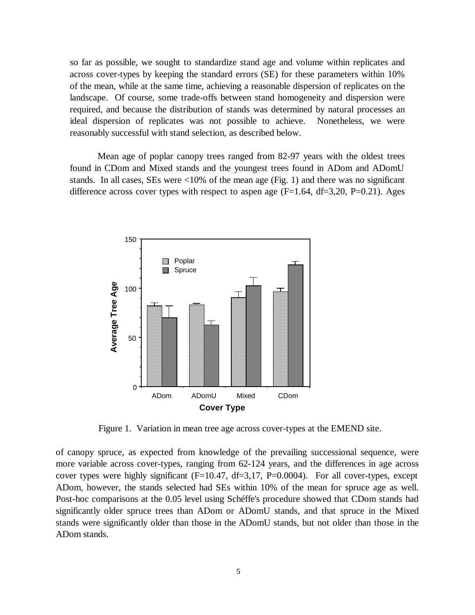so far as possible, we sought to standardize stand age and volume within replicates and across cover-types by keeping the standard errors (SE) for these parameters within 10% of the mean, while at the same time, achieving a reasonable dispersion of replicates on the landscape. Of course, some trade-offs between stand homogeneity and dispersion were required, and because the distribution of stands was determined by natural processes an ideal dispersion of replicates was not possible to achieve. Nonetheless, we were reasonably successful with stand selection, as described below.

Mean age of poplar canopy trees ranged from 82-97 years with the oldest trees found in CDom and Mixed stands and the youngest trees found in ADom and ADomU stands. In all cases,  $SEs$  were  $\langle 10\%$  of the mean age (Fig. 1) and there was no significant difference across cover types with respect to aspen age  $(F=1.64, df=3.20, P=0.21)$ . Ages



Figure 1. Variation in mean tree age across cover-types at the EMEND site.

of canopy spruce, as expected from knowledge of the prevailing successional sequence, were more variable across cover-types, ranging from 62-124 years, and the differences in age across cover types were highly significant (F=10.47, df=3,17, P=0.0004). For all cover-types, except ADom, however, the stands selected had SEs within 10% of the mean for spruce age as well. Post-hoc comparisons at the 0.05 level using Schéffe's procedure showed that CDom stands had significantly older spruce trees than ADom or ADomU stands, and that spruce in the Mixed stands were significantly older than those in the ADomU stands, but not older than those in the ADom stands.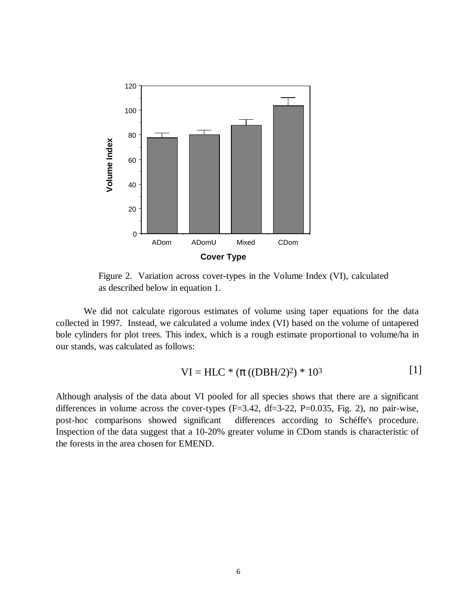

Figure 2. Variation across cover-types in the Volume Index (VI), calculated as described below in equation 1.

We did not calculate rigorous estimates of volume using taper equations for the data collected in 1997. Instead, we calculated a volume index (VI) based on the volume of untapered bole cylinders for plot trees. This index, which is a rough estimate proportional to volume/ha in our stands, was calculated as follows:

VI = HLC \* 
$$
(\pi ((DBH/2)^2) * 10^3
$$
 [1]

Although analysis of the data about VI pooled for all species shows that there are a significant differences in volume across the cover-types  $(F=3.42, df=3-22, P=0.035, Fig. 2)$ , no pair-wise, post-hoc comparisons showed significant differences according to Schéffe's procedure. Inspection of the data suggest that a 10-20% greater volume in CDom stands is characteristic of the forests in the area chosen for EMEND.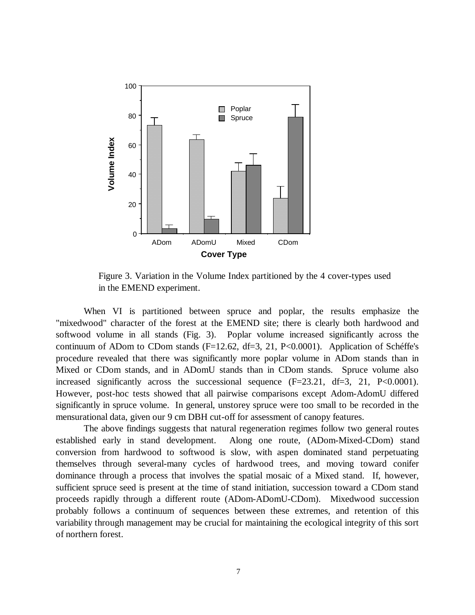

Figure 3. Variation in the Volume Index partitioned by the 4 cover-types used in the EMEND experiment.

When VI is partitioned between spruce and poplar, the results emphasize the "mixedwood" character of the forest at the EMEND site; there is clearly both hardwood and softwood volume in all stands (Fig. 3). Poplar volume increased significantly across the continuum of ADom to CDom stands (F=12.62, df=3, 21, P<0.0001). Application of Schéffe's procedure revealed that there was significantly more poplar volume in ADom stands than in Mixed or CDom stands, and in ADomU stands than in CDom stands. Spruce volume also increased significantly across the successional sequence  $(F=23.21, df=3, 21, P<0.0001)$ . However, post-hoc tests showed that all pairwise comparisons except Adom-AdomU differed significantly in spruce volume. In general, unstorey spruce were too small to be recorded in the mensurational data, given our 9 cm DBH cut-off for assessment of canopy features.

The above findings suggests that natural regeneration regimes follow two general routes established early in stand development. Along one route, (ADom-Mixed-CDom) stand conversion from hardwood to softwood is slow, with aspen dominated stand perpetuating themselves through several-many cycles of hardwood trees, and moving toward conifer dominance through a process that involves the spatial mosaic of a Mixed stand. If, however, sufficient spruce seed is present at the time of stand initiation, succession toward a CDom stand proceeds rapidly through a different route (ADom-ADomU-CDom). Mixedwood succession probably follows a continuum of sequences between these extremes, and retention of this variability through management may be crucial for maintaining the ecological integrity of this sort of northern forest.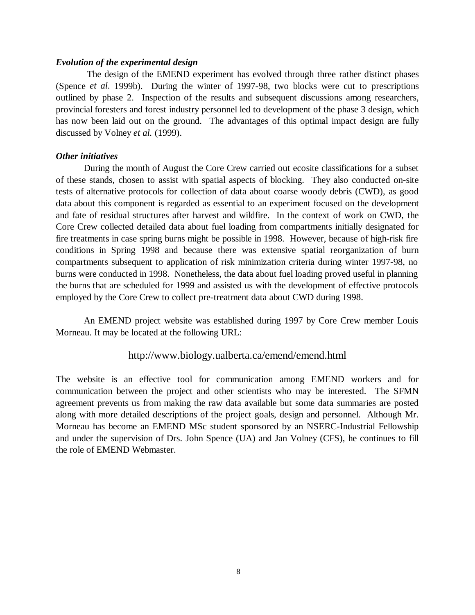#### *Evolution of the experimental design*

 The design of the EMEND experiment has evolved through three rather distinct phases (Spence *et al.* 1999b). During the winter of 1997-98, two blocks were cut to prescriptions outlined by phase 2. Inspection of the results and subsequent discussions among researchers, provincial foresters and forest industry personnel led to development of the phase 3 design, which has now been laid out on the ground. The advantages of this optimal impact design are fully discussed by Volney *et al.* (1999).

#### *Other initiatives*

During the month of August the Core Crew carried out ecosite classifications for a subset of these stands, chosen to assist with spatial aspects of blocking. They also conducted on-site tests of alternative protocols for collection of data about coarse woody debris (CWD), as good data about this component is regarded as essential to an experiment focused on the development and fate of residual structures after harvest and wildfire. In the context of work on CWD, the Core Crew collected detailed data about fuel loading from compartments initially designated for fire treatments in case spring burns might be possible in 1998. However, because of high-risk fire conditions in Spring 1998 and because there was extensive spatial reorganization of burn compartments subsequent to application of risk minimization criteria during winter 1997-98, no burns were conducted in 1998. Nonetheless, the data about fuel loading proved useful in planning the burns that are scheduled for 1999 and assisted us with the development of effective protocols employed by the Core Crew to collect pre-treatment data about CWD during 1998.

An EMEND project website was established during 1997 by Core Crew member Louis Morneau. It may be located at the following URL:

#### http://www.biology.ualberta.ca/emend/emend.html

The website is an effective tool for communication among EMEND workers and for communication between the project and other scientists who may be interested. The SFMN agreement prevents us from making the raw data available but some data summaries are posted along with more detailed descriptions of the project goals, design and personnel. Although Mr. Morneau has become an EMEND MSc student sponsored by an NSERC-Industrial Fellowship and under the supervision of Drs. John Spence (UA) and Jan Volney (CFS), he continues to fill the role of EMEND Webmaster.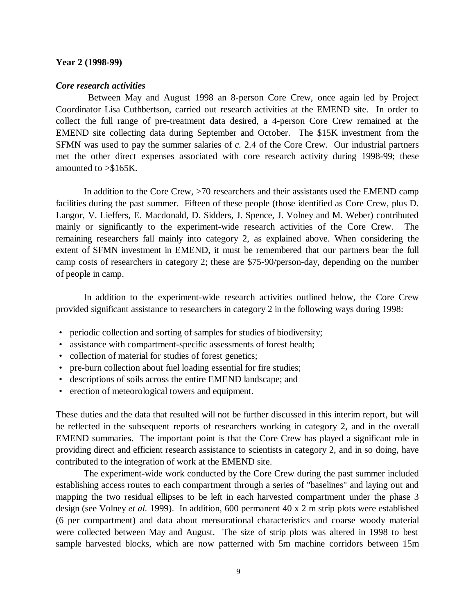#### **Year 2 (1998-99)**

#### *Core research activities*

 Between May and August 1998 an 8-person Core Crew, once again led by Project Coordinator Lisa Cuthbertson, carried out research activities at the EMEND site. In order to collect the full range of pre-treatment data desired, a 4-person Core Crew remained at the EMEND site collecting data during September and October. The \$15K investment from the SFMN was used to pay the summer salaries of *c.* 2.4 of the Core Crew. Our industrial partners met the other direct expenses associated with core research activity during 1998-99; these amounted to >\$165K.

In addition to the Core Crew, >70 researchers and their assistants used the EMEND camp facilities during the past summer. Fifteen of these people (those identified as Core Crew, plus D. Langor, V. Lieffers, E. Macdonald, D. Sidders, J. Spence, J. Volney and M. Weber) contributed mainly or significantly to the experiment-wide research activities of the Core Crew. The remaining researchers fall mainly into category 2, as explained above. When considering the extent of SFMN investment in EMEND, it must be remembered that our partners bear the full camp costs of researchers in category 2; these are \$75-90/person-day, depending on the number of people in camp.

In addition to the experiment-wide research activities outlined below, the Core Crew provided significant assistance to researchers in category 2 in the following ways during 1998:

- periodic collection and sorting of samples for studies of biodiversity;
- assistance with compartment-specific assessments of forest health;
- collection of material for studies of forest genetics;
- pre-burn collection about fuel loading essential for fire studies;
- descriptions of soils across the entire EMEND landscape; and
- erection of meteorological towers and equipment.

These duties and the data that resulted will not be further discussed in this interim report, but will be reflected in the subsequent reports of researchers working in category 2, and in the overall EMEND summaries. The important point is that the Core Crew has played a significant role in providing direct and efficient research assistance to scientists in category 2, and in so doing, have contributed to the integration of work at the EMEND site.

The experiment-wide work conducted by the Core Crew during the past summer included establishing access routes to each compartment through a series of "baselines" and laying out and mapping the two residual ellipses to be left in each harvested compartment under the phase 3 design (see Volney *et al.* 1999). In addition, 600 permanent 40 x 2 m strip plots were established (6 per compartment) and data about mensurational characteristics and coarse woody material were collected between May and August. The size of strip plots was altered in 1998 to best sample harvested blocks, which are now patterned with 5m machine corridors between 15m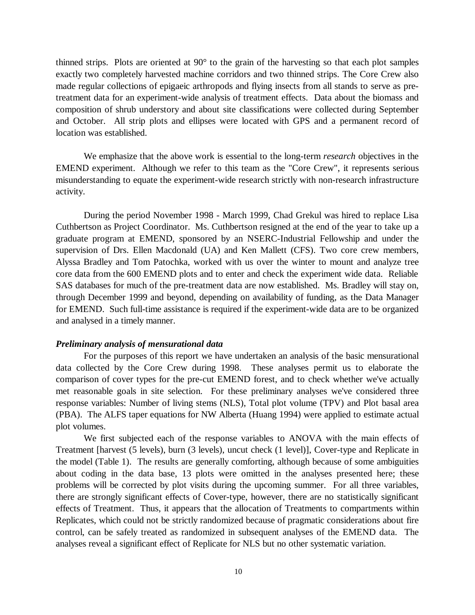thinned strips. Plots are oriented at 90° to the grain of the harvesting so that each plot samples exactly two completely harvested machine corridors and two thinned strips. The Core Crew also made regular collections of epigaeic arthropods and flying insects from all stands to serve as pretreatment data for an experiment-wide analysis of treatment effects. Data about the biomass and composition of shrub understory and about site classifications were collected during September and October. All strip plots and ellipses were located with GPS and a permanent record of location was established.

We emphasize that the above work is essential to the long-term *research* objectives in the EMEND experiment. Although we refer to this team as the "Core Crew", it represents serious misunderstanding to equate the experiment-wide research strictly with non-research infrastructure activity.

During the period November 1998 - March 1999, Chad Grekul was hired to replace Lisa Cuthbertson as Project Coordinator. Ms. Cuthbertson resigned at the end of the year to take up a graduate program at EMEND, sponsored by an NSERC-Industrial Fellowship and under the supervision of Drs. Ellen Macdonald (UA) and Ken Mallett (CFS). Two core crew members, Alyssa Bradley and Tom Patochka, worked with us over the winter to mount and analyze tree core data from the 600 EMEND plots and to enter and check the experiment wide data. Reliable SAS databases for much of the pre-treatment data are now established. Ms. Bradley will stay on, through December 1999 and beyond, depending on availability of funding, as the Data Manager for EMEND. Such full-time assistance is required if the experiment-wide data are to be organized and analysed in a timely manner.

#### *Preliminary analysis of mensurational data*

For the purposes of this report we have undertaken an analysis of the basic mensurational data collected by the Core Crew during 1998. These analyses permit us to elaborate the comparison of cover types for the pre-cut EMEND forest, and to check whether we've actually met reasonable goals in site selection. For these preliminary analyses we've considered three response variables: Number of living stems (NLS), Total plot volume (TPV) and Plot basal area (PBA). The ALFS taper equations for NW Alberta (Huang 1994) were applied to estimate actual plot volumes.

We first subjected each of the response variables to ANOVA with the main effects of Treatment [harvest (5 levels), burn (3 levels), uncut check (1 level)], Cover-type and Replicate in the model (Table 1). The results are generally comforting, although because of some ambiguities about coding in the data base, 13 plots were omitted in the analyses presented here; these problems will be corrected by plot visits during the upcoming summer. For all three variables, there are strongly significant effects of Cover-type, however, there are no statistically significant effects of Treatment. Thus, it appears that the allocation of Treatments to compartments within Replicates, which could not be strictly randomized because of pragmatic considerations about fire control, can be safely treated as randomized in subsequent analyses of the EMEND data. The analyses reveal a significant effect of Replicate for NLS but no other systematic variation.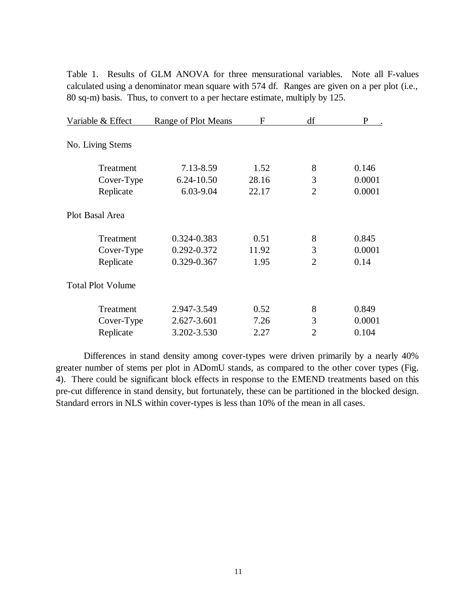Table 1. Results of GLM ANOVA for three mensurational variables. Note all F-values calculated using a denominator mean square with 574 df. Ranges are given on a per plot (i.e., 80 sq-m) basis. Thus, to convert to a per hectare estimate, multiply by 125.

| Variable & Effect        | <b>Range of Plot Means</b> | F     | df             | P      |
|--------------------------|----------------------------|-------|----------------|--------|
| No. Living Stems         |                            |       |                |        |
| Treatment                | 7.13-8.59                  | 1.52  | 8              | 0.146  |
| Cover-Type               | 6.24-10.50                 | 28.16 | 3              | 0.0001 |
| Replicate                | 6.03-9.04                  | 22.17 | $\overline{2}$ | 0.0001 |
| Plot Basal Area          |                            |       |                |        |
| Treatment                | 0.324-0.383                | 0.51  | 8              | 0.845  |
| Cover-Type               | 0.292-0.372                | 11.92 | 3              | 0.0001 |
| Replicate                | 0.329-0.367                | 1.95  | $\overline{2}$ | 0.14   |
| <b>Total Plot Volume</b> |                            |       |                |        |
| Treatment                | 2.947-3.549                | 0.52  | 8              | 0.849  |
| Cover-Type               | 2.627-3.601                | 7.26  | 3              | 0.0001 |
| Replicate                | 3.202-3.530                | 2.27  | $\overline{2}$ | 0.104  |

Differences in stand density among cover-types were driven primarily by a nearly 40% greater number of stems per plot in ADomU stands, as compared to the other cover types (Fig. 4). There could be significant block effects in response to the EMEND treatments based on this pre-cut difference in stand density, but fortunately, these can be partitioned in the blocked design. Standard errors in NLS within cover-types is less than 10% of the mean in all cases.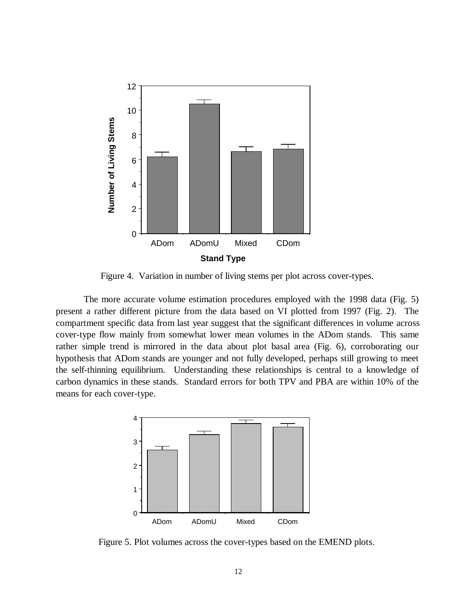

Figure 4. Variation in number of living stems per plot across cover-types.

The more accurate volume estimation procedures employed with the 1998 data (Fig. 5) present a rather different picture from the data based on VI plotted from 1997 (Fig. 2). The compartment specific data from last year suggest that the significant differences in volume across cover-type flow mainly from somewhat lower mean volumes in the ADom stands. This same rather simple trend is mirrored in the data about plot basal area (Fig. 6), corroborating our hypothesis that ADom stands are younger and not fully developed, perhaps still growing to meet the self-thinning equilibrium. Understanding these relationships is central to a knowledge of carbon dynamics in these stands. Standard errors for both TPV and PBA are within 10% of the means for each cover-type.



Figure 5. Plot volumes across the cover-types based on the EMEND plots.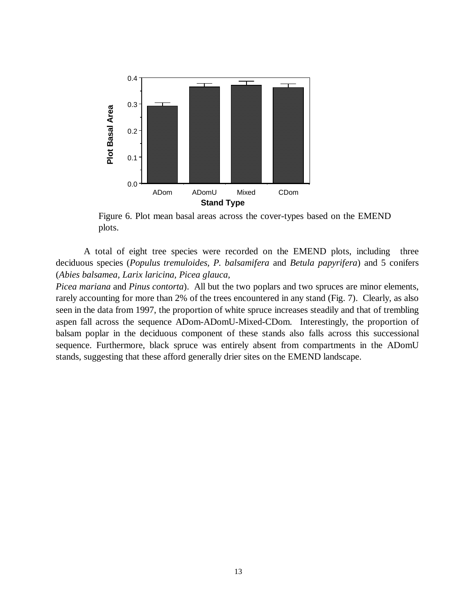

Figure 6. Plot mean basal areas across the cover-types based on the EMEND plots.

A total of eight tree species were recorded on the EMEND plots, including three deciduous species (*Populus tremuloides, P. balsamifera* and *Betula papyrifera*) and 5 conifers (*Abies balsamea, Larix laricina, Picea glauca,*

*Picea mariana* and *Pinus contorta*). All but the two poplars and two spruces are minor elements, rarely accounting for more than 2% of the trees encountered in any stand (Fig. 7). Clearly, as also seen in the data from 1997, the proportion of white spruce increases steadily and that of trembling aspen fall across the sequence ADom-ADomU-Mixed-CDom. Interestingly, the proportion of balsam poplar in the deciduous component of these stands also falls across this successional sequence. Furthermore, black spruce was entirely absent from compartments in the ADomU stands, suggesting that these afford generally drier sites on the EMEND landscape.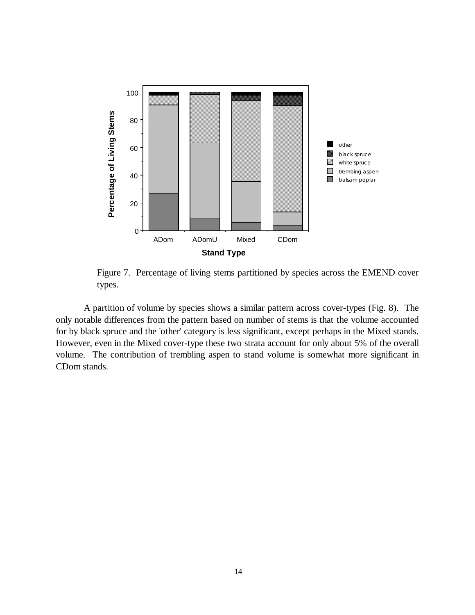

Figure 7. Percentage of living stems partitioned by species across the EMEND cover types.

A partition of volume by species shows a similar pattern across cover-types (Fig. 8). The only notable differences from the pattern based on number of stems is that the volume accounted for by black spruce and the 'other' category is less significant, except perhaps in the Mixed stands. However, even in the Mixed cover-type these two strata account for only about 5% of the overall volume. The contribution of trembling aspen to stand volume is somewhat more significant in CDom stands.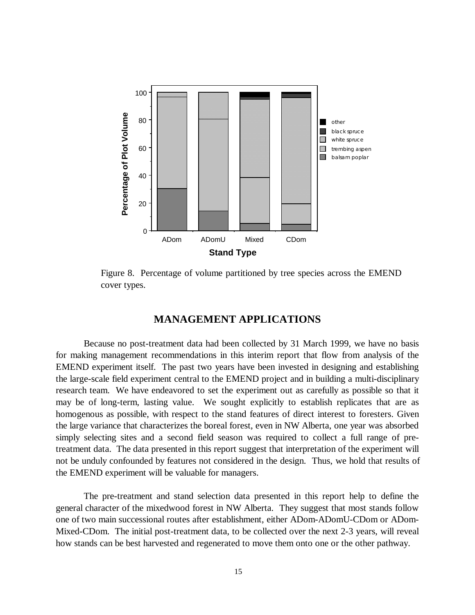

Figure 8. Percentage of volume partitioned by tree species across the EMEND cover types.

## **MANAGEMENT APPLICATIONS**

Because no post-treatment data had been collected by 31 March 1999, we have no basis for making management recommendations in this interim report that flow from analysis of the EMEND experiment itself. The past two years have been invested in designing and establishing the large-scale field experiment central to the EMEND project and in building a multi-disciplinary research team. We have endeavored to set the experiment out as carefully as possible so that it may be of long-term, lasting value. We sought explicitly to establish replicates that are as homogenous as possible, with respect to the stand features of direct interest to foresters. Given the large variance that characterizes the boreal forest, even in NW Alberta, one year was absorbed simply selecting sites and a second field season was required to collect a full range of pretreatment data. The data presented in this report suggest that interpretation of the experiment will not be unduly confounded by features not considered in the design. Thus, we hold that results of the EMEND experiment will be valuable for managers.

The pre-treatment and stand selection data presented in this report help to define the general character of the mixedwood forest in NW Alberta. They suggest that most stands follow one of two main successional routes after establishment, either ADom-ADomU-CDom or ADom-Mixed-CDom. The initial post-treatment data, to be collected over the next 2-3 years, will reveal how stands can be best harvested and regenerated to move them onto one or the other pathway.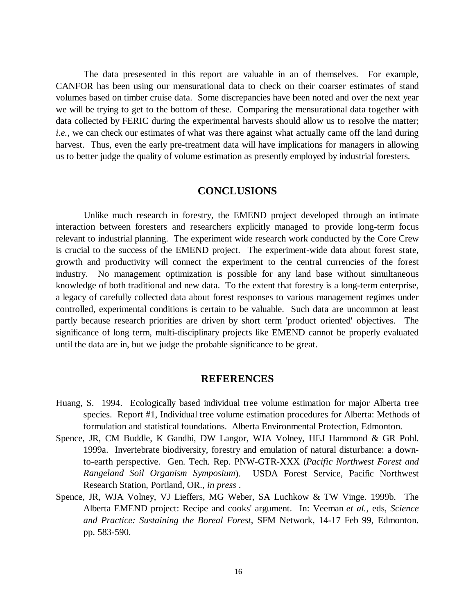The data presesented in this report are valuable in an of themselves. For example, CANFOR has been using our mensurational data to check on their coarser estimates of stand volumes based on timber cruise data. Some discrepancies have been noted and over the next year we will be trying to get to the bottom of these. Comparing the mensurational data together with data collected by FERIC during the experimental harvests should allow us to resolve the matter; *i.e.*, we can check our estimates of what was there against what actually came off the land during harvest. Thus, even the early pre-treatment data will have implications for managers in allowing us to better judge the quality of volume estimation as presently employed by industrial foresters.

### **CONCLUSIONS**

Unlike much research in forestry, the EMEND project developed through an intimate interaction between foresters and researchers explicitly managed to provide long-term focus relevant to industrial planning. The experiment wide research work conducted by the Core Crew is crucial to the success of the EMEND project. The experiment-wide data about forest state, growth and productivity will connect the experiment to the central currencies of the forest industry. No management optimization is possible for any land base without simultaneous knowledge of both traditional and new data. To the extent that forestry is a long-term enterprise, a legacy of carefully collected data about forest responses to various management regimes under controlled, experimental conditions is certain to be valuable. Such data are uncommon at least partly because research priorities are driven by short term 'product oriented' objectives. The significance of long term, multi-disciplinary projects like EMEND cannot be properly evaluated until the data are in, but we judge the probable significance to be great.

#### **REFERENCES**

- Huang, S. 1994. Ecologically based individual tree volume estimation for major Alberta tree species. Report #1, Individual tree volume estimation procedures for Alberta: Methods of formulation and statistical foundations. Alberta Environmental Protection, Edmonton.
- Spence, JR, CM Buddle, K Gandhi, DW Langor, WJA Volney, HEJ Hammond & GR Pohl. 1999a. Invertebrate biodiversity, forestry and emulation of natural disturbance: a downto-earth perspective. Gen. Tech. Rep. PNW-GTR-XXX (*Pacific Northwest Forest and Rangeland Soil Organism Symposium*). USDA Forest Service, Pacific Northwest Research Station, Portland, OR., *in press* .
- Spence, JR, WJA Volney, VJ Lieffers, MG Weber, SA Luchkow & TW Vinge. 1999b. The Alberta EMEND project: Recipe and cooks' argument. In: Veeman *et al.*, eds, *Science and Practice: Sustaining the Boreal Forest*, SFM Network, 14-17 Feb 99, Edmonton. pp. 583-590.